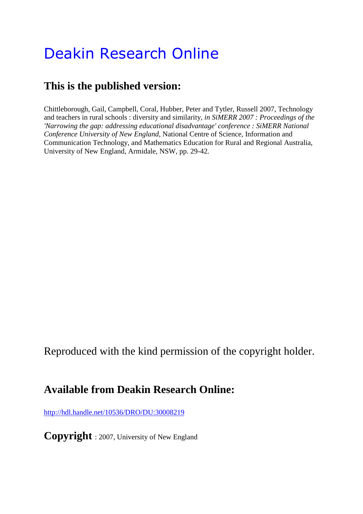# Deakin Research Online

## **This is the published version:**

Chittleborough, Gail, Campbell, Coral, Hubber, Peter and Tytler, Russell 2007, Technology and teachers in rural schools : diversity and similarity*, in SiMERR 2007 : Proceedings of the 'Narrowing the gap: addressing educational disadvantage' conference : SiMERR National Conference University of New England*, National Centre of Science, Information and Communication Technology, and Mathematics Education for Rural and Regional Australia, University of New England, Armidale, NSW, pp. 29-42.

Reproduced with the kind permission of the copyright holder.

### **Available from Deakin Research Online:**

<http://hdl.handle.net/10536/DRO/DU:30008219>

**Copyright** : 2007, University of New England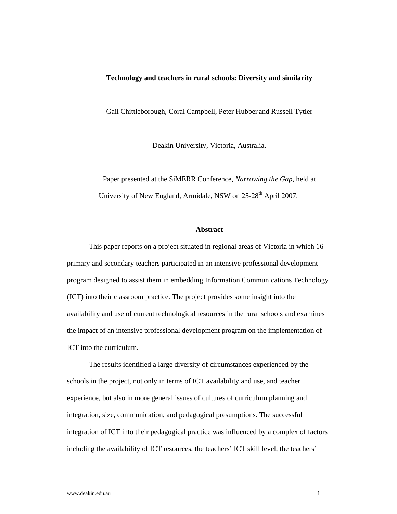#### **Technology and teachers in rural schools: Diversity and similarity**

Gail Chittleborough, Coral Campbell, Peter Hubber and Russell Tytler

Deakin University, Victoria, Australia.

Paper presented at the SiMERR Conference, *Narrowing the Gap,* held at University of New England, Armidale, NSW on  $25-28<sup>th</sup>$  April 2007.

#### **Abstract**

This paper reports on a project situated in regional areas of Victoria in which 16 primary and secondary teachers participated in an intensive professional development program designed to assist them in embedding Information Communications Technology (ICT) into their classroom practice. The project provides some insight into the availability and use of current technological resources in the rural schools and examines the impact of an intensive professional development program on the implementation of ICT into the curriculum.

The results identified a large diversity of circumstances experienced by the schools in the project, not only in terms of ICT availability and use, and teacher experience, but also in more general issues of cultures of curriculum planning and integration, size, communication, and pedagogical presumptions. The successful integration of ICT into their pedagogical practice was influenced by a complex of factors including the availability of ICT resources, the teachers' ICT skill level, the teachers'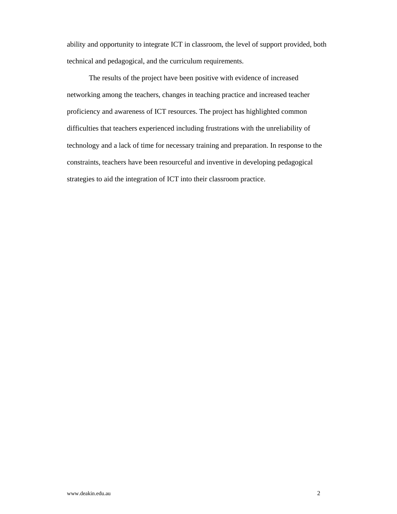ability and opportunity to integrate ICT in classroom, the level of support provided, both technical and pedagogical, and the curriculum requirements.

The results of the project have been positive with evidence of increased networking among the teachers, changes in teaching practice and increased teacher proficiency and awareness of ICT resources. The project has highlighted common difficulties that teachers experienced including frustrations with the unreliability of technology and a lack of time for necessary training and preparation. In response to the constraints, teachers have been resourceful and inventive in developing pedagogical strategies to aid the integration of ICT into their classroom practice.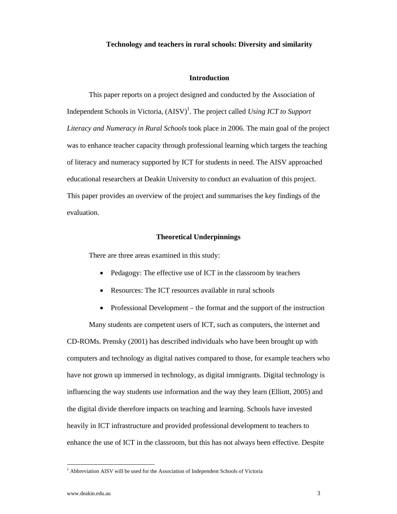#### **Technology and teachers in rural schools: Diversity and similarity**

#### **Introduction**

This paper reports on a project designed and conducted by the Association of Independent Schools in Victoria,  $(ANSV)^{1}$ . The project called *Using ICT to Support Literacy and Numeracy in Rural Schools* took place in 2006. The main goal of the project was to enhance teacher capacity through professional learning which targets the teaching of literacy and numeracy supported by ICT for students in need. The AISV approached educational researchers at Deakin University to conduct an evaluation of this project. This paper provides an overview of the project and summarises the key findings of the evaluation.

#### **Theoretical Underpinnings**

There are three areas examined in this study:

- Pedagogy: The effective use of ICT in the classroom by teachers
- Resources: The ICT resources available in rural schools
- Professional Development the format and the support of the instruction

Many students are competent users of ICT, such as computers, the internet and CD-ROMs. Prensky (2001) has described individuals who have been brought up with computers and technology as digital natives compared to those, for example teachers who have not grown up immersed in technology, as digital immigrants. Digital technology is influencing the way students use information and the way they learn (Elliott, 2005) and the digital divide therefore impacts on teaching and learning. Schools have invested heavily in ICT infrastructure and provided professional development to teachers to enhance the use of ICT in the classroom, but this has not always been effective. Despite

<sup>&</sup>lt;sup>1</sup> Abbreviation AISV will be used for the Association of Independent Schools of Victoria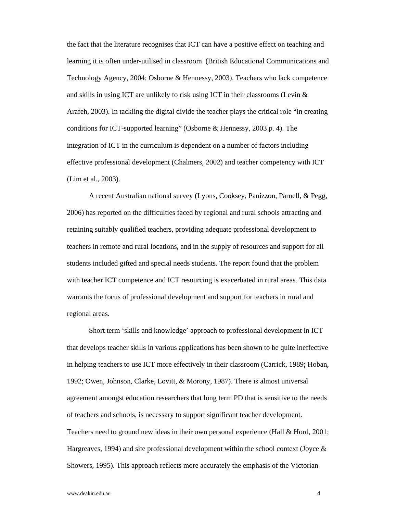the fact that the literature recognises that ICT can have a positive effect on teaching and learning it is often under-utilised in classroom (British Educational Communications and Technology Agency, 2004; Osborne & Hennessy, 2003). Teachers who lack competence and skills in using ICT are unlikely to risk using ICT in their classrooms (Levin  $\&$ Arafeh, 2003). In tackling the digital divide the teacher plays the critical role "in creating conditions for ICT-supported learning" (Osborne & Hennessy, 2003 p. 4). The integration of ICT in the curriculum is dependent on a number of factors including effective professional development (Chalmers, 2002) and teacher competency with ICT (Lim et al., 2003).

A recent Australian national survey (Lyons, Cooksey, Panizzon, Parnell, & Pegg, 2006) has reported on the difficulties faced by regional and rural schools attracting and retaining suitably qualified teachers, providing adequate professional development to teachers in remote and rural locations, and in the supply of resources and support for all students included gifted and special needs students. The report found that the problem with teacher ICT competence and ICT resourcing is exacerbated in rural areas. This data warrants the focus of professional development and support for teachers in rural and regional areas.

Short term 'skills and knowledge' approach to professional development in ICT that develops teacher skills in various applications has been shown to be quite ineffective in helping teachers to use ICT more effectively in their classroom (Carrick, 1989; Hoban, 1992; Owen, Johnson, Clarke, Lovitt, & Morony, 1987). There is almost universal agreement amongst education researchers that long term PD that is sensitive to the needs of teachers and schools, is necessary to support significant teacher development. Teachers need to ground new ideas in their own personal experience (Hall & Hord, 2001; Hargreaves, 1994) and site professional development within the school context (Joyce  $\&$ Showers, 1995). This approach reflects more accurately the emphasis of the Victorian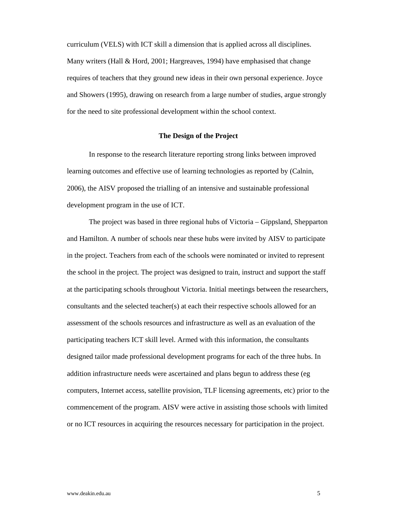curriculum (VELS) with ICT skill a dimension that is applied across all disciplines. Many writers (Hall & Hord, 2001; Hargreaves, 1994) have emphasised that change requires of teachers that they ground new ideas in their own personal experience. Joyce and Showers (1995), drawing on research from a large number of studies, argue strongly for the need to site professional development within the school context.

#### **The Design of the Project**

In response to the research literature reporting strong links between improved learning outcomes and effective use of learning technologies as reported by (Calnin, 2006), the AISV proposed the trialling of an intensive and sustainable professional development program in the use of ICT.

The project was based in three regional hubs of Victoria – Gippsland, Shepparton and Hamilton. A number of schools near these hubs were invited by AISV to participate in the project. Teachers from each of the schools were nominated or invited to represent the school in the project. The project was designed to train, instruct and support the staff at the participating schools throughout Victoria. Initial meetings between the researchers, consultants and the selected teacher(s) at each their respective schools allowed for an assessment of the schools resources and infrastructure as well as an evaluation of the participating teachers ICT skill level. Armed with this information, the consultants designed tailor made professional development programs for each of the three hubs. In addition infrastructure needs were ascertained and plans begun to address these (eg computers, Internet access, satellite provision, TLF licensing agreements, etc) prior to the commencement of the program. AISV were active in assisting those schools with limited or no ICT resources in acquiring the resources necessary for participation in the project.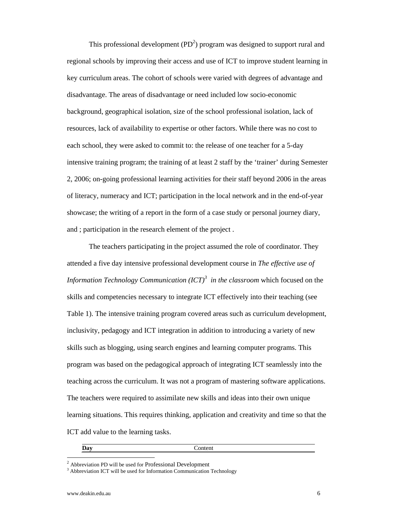This professional development  $(PD<sup>2</sup>)$  program was designed to support rural and regional schools by improving their access and use of ICT to improve student learning in key curriculum areas. The cohort of schools were varied with degrees of advantage and disadvantage. The areas of disadvantage or need included low socio-economic background, geographical isolation, size of the school professional isolation, lack of resources, lack of availability to expertise or other factors. While there was no cost to each school, they were asked to commit to: the release of one teacher for a 5-day intensive training program; the training of at least 2 staff by the 'trainer' during Semester 2, 2006; on-going professional learning activities for their staff beyond 2006 in the areas of literacy, numeracy and ICT; participation in the local network and in the end-of-year showcase; the writing of a report in the form of a case study or personal journey diary, and ; participation in the research element of the project .

The teachers participating in the project assumed the role of coordinator. They attended a five day intensive professional development course in *The effective use of Information Technology Communication (ICT)<sup>3</sup> in the classroom* which focused on the skills and competencies necessary to integrate ICT effectively into their teaching (see Table 1). The intensive training program covered areas such as curriculum development, inclusivity, pedagogy and ICT integration in addition to introducing a variety of new skills such as blogging, using search engines and learning computer programs. This program was based on the pedagogical approach of integrating ICT seamlessly into the teaching across the curriculum. It was not a program of mastering software applications. The teachers were required to assimilate new skills and ideas into their own unique learning situations. This requires thinking, application and creativity and time so that the ICT add value to the learning tasks.

 $\overline{a}$ 

#### **Day** Content

 $2$  Abbreviation PD will be used for Professional Development

 $3$  Abbreviation ICT will be used for Information Communication Technology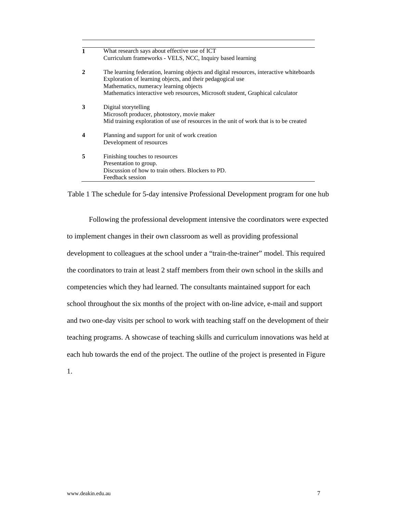|              | What research says about effective use of ICT                                                                                                                                                                                                                                      |  |  |  |
|--------------|------------------------------------------------------------------------------------------------------------------------------------------------------------------------------------------------------------------------------------------------------------------------------------|--|--|--|
|              | Curriculum frameworks - VELS, NCC, Inquiry based learning                                                                                                                                                                                                                          |  |  |  |
| $\mathbf{2}$ | The learning federation, learning objects and digital resources, interactive whiteboards<br>Exploration of learning objects, and their pedagogical use<br>Mathematics, numeracy learning objects<br>Mathematics interactive web resources, Microsoft student, Graphical calculator |  |  |  |
| 3            | Digital storytelling<br>Microsoft producer, photostory, movie maker<br>Mid training exploration of use of resources in the unit of work that is to be created                                                                                                                      |  |  |  |
| 4            | Planning and support for unit of work creation<br>Development of resources                                                                                                                                                                                                         |  |  |  |
| 5            | Finishing touches to resources<br>Presentation to group.<br>Discussion of how to train others. Blockers to PD.<br>Feedback session                                                                                                                                                 |  |  |  |

Table 1 The schedule for 5-day intensive Professional Development program for one hub

Following the professional development intensive the coordinators were expected to implement changes in their own classroom as well as providing professional development to colleagues at the school under a "train-the-trainer" model. This required the coordinators to train at least 2 staff members from their own school in the skills and competencies which they had learned. The consultants maintained support for each school throughout the six months of the project with on-line advice, e-mail and support and two one-day visits per school to work with teaching staff on the development of their teaching programs. A showcase of teaching skills and curriculum innovations was held at each hub towards the end of the project. The outline of the project is presented in Figure

1.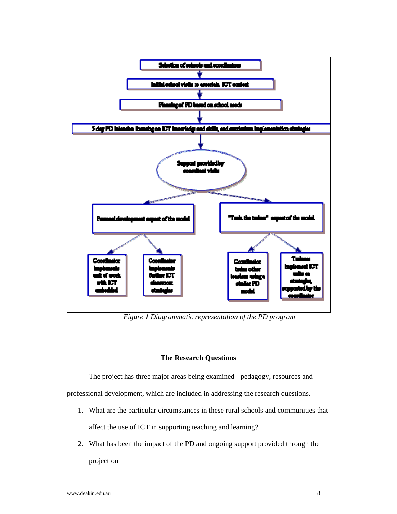

*Figure 1 Diagrammatic representation of the PD program* 

#### **The Research Questions**

The project has three major areas being examined - pedagogy, resources and

professional development, which are included in addressing the research questions.

- 1. What are the particular circumstances in these rural schools and communities that affect the use of ICT in supporting teaching and learning?
- 2. What has been the impact of the PD and ongoing support provided through the

project on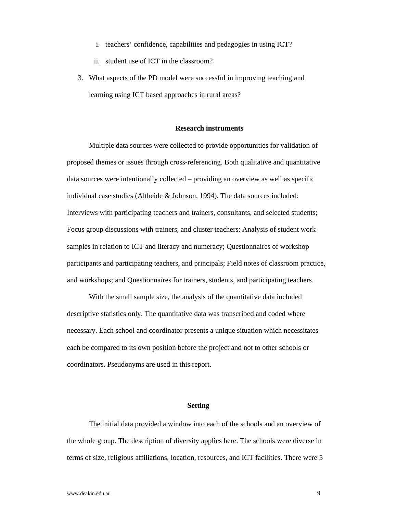- i. teachers' confidence, capabilities and pedagogies in using ICT?
- ii. student use of ICT in the classroom?
- 3. What aspects of the PD model were successful in improving teaching and learning using ICT based approaches in rural areas?

#### **Research instruments**

Multiple data sources were collected to provide opportunities for validation of proposed themes or issues through cross-referencing. Both qualitative and quantitative data sources were intentionally collected – providing an overview as well as specific individual case studies (Altheide & Johnson, 1994). The data sources included: Interviews with participating teachers and trainers, consultants, and selected students; Focus group discussions with trainers, and cluster teachers; Analysis of student work samples in relation to ICT and literacy and numeracy; Questionnaires of workshop participants and participating teachers, and principals; Field notes of classroom practice, and workshops; and Questionnaires for trainers, students, and participating teachers.

With the small sample size, the analysis of the quantitative data included descriptive statistics only. The quantitative data was transcribed and coded where necessary. Each school and coordinator presents a unique situation which necessitates each be compared to its own position before the project and not to other schools or coordinators. Pseudonyms are used in this report.

#### **Setting**

The initial data provided a window into each of the schools and an overview of the whole group. The description of diversity applies here. The schools were diverse in terms of size, religious affiliations, location, resources, and ICT facilities. There were 5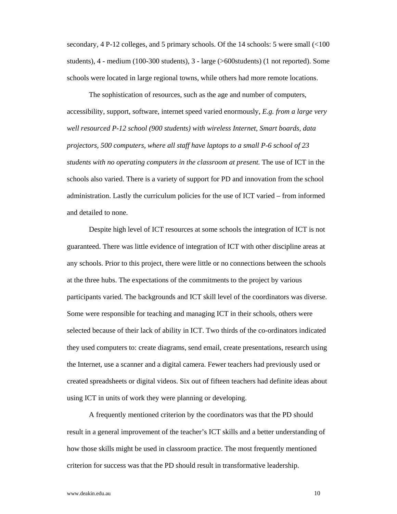secondary, 4 P-12 colleges, and 5 primary schools. Of the 14 schools: 5 were small (<100 students), 4 - medium (100-300 students), 3 - large (>600students) (1 not reported). Some schools were located in large regional towns, while others had more remote locations.

The sophistication of resources, such as the age and number of computers, accessibility, support, software, internet speed varied enormously, *E.g. from a large very well resourced P-12 school (900 students) with wireless Internet, Smart boards, data projectors, 500 computers, where all staff have laptops to a small P-6 school of 23 students with no operating computers in the classroom at present.* The use of ICT in the schools also varied. There is a variety of support for PD and innovation from the school administration. Lastly the curriculum policies for the use of ICT varied – from informed and detailed to none.

Despite high level of ICT resources at some schools the integration of ICT is not guaranteed. There was little evidence of integration of ICT with other discipline areas at any schools. Prior to this project, there were little or no connections between the schools at the three hubs. The expectations of the commitments to the project by various participants varied. The backgrounds and ICT skill level of the coordinators was diverse. Some were responsible for teaching and managing ICT in their schools, others were selected because of their lack of ability in ICT. Two thirds of the co-ordinators indicated they used computers to: create diagrams, send email, create presentations, research using the Internet, use a scanner and a digital camera. Fewer teachers had previously used or created spreadsheets or digital videos. Six out of fifteen teachers had definite ideas about using ICT in units of work they were planning or developing.

A frequently mentioned criterion by the coordinators was that the PD should result in a general improvement of the teacher's ICT skills and a better understanding of how those skills might be used in classroom practice. The most frequently mentioned criterion for success was that the PD should result in transformative leadership.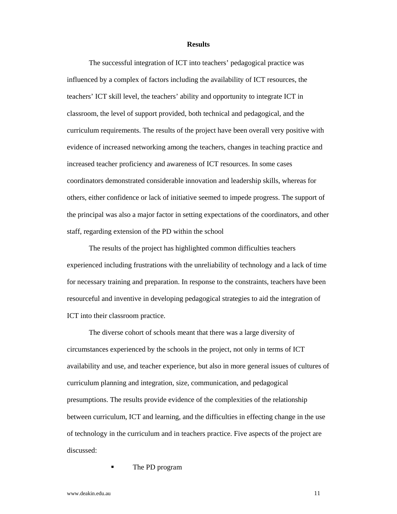#### **Results**

The successful integration of ICT into teachers' pedagogical practice was influenced by a complex of factors including the availability of ICT resources, the teachers' ICT skill level, the teachers' ability and opportunity to integrate ICT in classroom, the level of support provided, both technical and pedagogical, and the curriculum requirements. The results of the project have been overall very positive with evidence of increased networking among the teachers, changes in teaching practice and increased teacher proficiency and awareness of ICT resources. In some cases coordinators demonstrated considerable innovation and leadership skills, whereas for others, either confidence or lack of initiative seemed to impede progress. The support of the principal was also a major factor in setting expectations of the coordinators, and other staff, regarding extension of the PD within the school

The results of the project has highlighted common difficulties teachers experienced including frustrations with the unreliability of technology and a lack of time for necessary training and preparation. In response to the constraints, teachers have been resourceful and inventive in developing pedagogical strategies to aid the integration of ICT into their classroom practice.

The diverse cohort of schools meant that there was a large diversity of circumstances experienced by the schools in the project, not only in terms of ICT availability and use, and teacher experience, but also in more general issues of cultures of curriculum planning and integration, size, communication, and pedagogical presumptions. The results provide evidence of the complexities of the relationship between curriculum, ICT and learning, and the difficulties in effecting change in the use of technology in the curriculum and in teachers practice. Five aspects of the project are discussed:

The PD program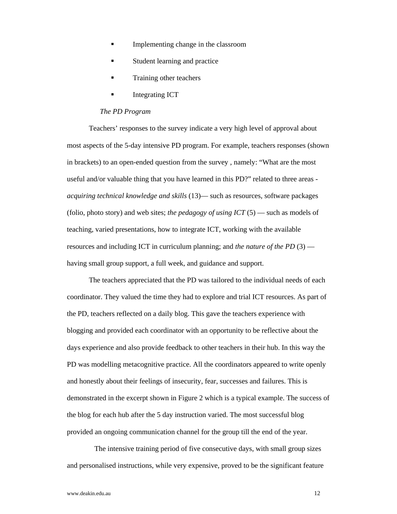- Implementing change in the classroom
- Student learning and practice
- Training other teachers
- Integrating ICT

#### *The PD Program*

Teachers' responses to the survey indicate a very high level of approval about most aspects of the 5-day intensive PD program. For example, teachers responses (shown in brackets) to an open-ended question from the survey , namely: "What are the most useful and/or valuable thing that you have learned in this PD?" related to three areas *acquiring technical knowledge and skills* (13)— such as resources, software packages (folio, photo story) and web sites; *the pedagogy of using ICT* (5) — such as models of teaching, varied presentations, how to integrate ICT, working with the available resources and including ICT in curriculum planning; and *the nature of the PD* (3) having small group support, a full week, and guidance and support.

The teachers appreciated that the PD was tailored to the individual needs of each coordinator. They valued the time they had to explore and trial ICT resources. As part of the PD, teachers reflected on a daily blog. This gave the teachers experience with blogging and provided each coordinator with an opportunity to be reflective about the days experience and also provide feedback to other teachers in their hub. In this way the PD was modelling metacognitive practice. All the coordinators appeared to write openly and honestly about their feelings of insecurity, fear, successes and failures. This is demonstrated in the excerpt shown in Figure 2 which is a typical example. The success of the blog for each hub after the 5 day instruction varied. The most successful blog provided an ongoing communication channel for the group till the end of the year.

The intensive training period of five consecutive days, with small group sizes and personalised instructions, while very expensive, proved to be the significant feature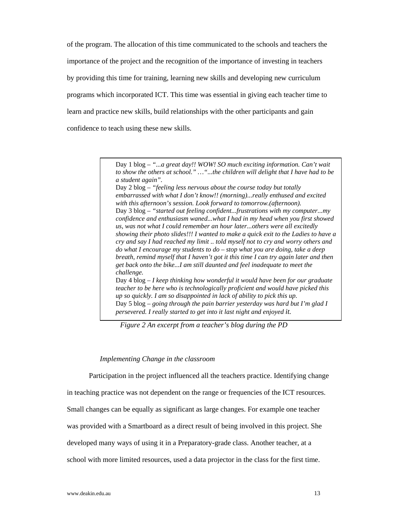of the program. The allocation of this time communicated to the schools and teachers the importance of the project and the recognition of the importance of investing in teachers by providing this time for training, learning new skills and developing new curriculum programs which incorporated ICT. This time was essential in giving each teacher time to learn and practice new skills, build relationships with the other participants and gain confidence to teach using these new skills.

> Day 1 blog *– "...a great day!! WOW! SO much exciting information. Can't wait to show the others at school." …"...the children will delight that I have had to be a student again".*

> Day 2 blog *– "feeling less nervous about the course today but totally embarrassed with what I don't know!! (morning)...really enthused and excited with this afternoon's session. Look forward to tomorrow.(afternoon).*  Day 3 blog *– "started out feeling confident...frustrations with my computer...my confidence and enthusiasm waned...what I had in my head when you first showed us, was not what I could remember an hour later...others were all excitedly showing their photo slides!!! I wanted to make a quick exit to the Ladies to have a cry and say I had reached my limit .. told myself not to cry and worry others and do what I encourage my students to do – stop what you are doing, take a deep breath, remind myself that I haven't got it this time I can try again later and then get back onto the bike...I am still daunted and feel inadequate to meet the challenge.*  Day 4 blog *– I keep thinking how wonderful it would have been for our graduate teacher to be here who is technologically proficient and would have picked this up so quickly. I am so disappointed in lack of ability to pick this up.*  Day 5 blog *– going through the pain barrier yesterday was hard but I'm glad I persevered. I really started to get into it last night and enjoyed it.*

*Figure 2 An excerpt from a teacher's blog during the PD* 

#### *Implementing Change in the classroom*

Participation in the project influenced all the teachers practice. Identifying change in teaching practice was not dependent on the range or frequencies of the ICT resources. Small changes can be equally as significant as large changes. For example one teacher was provided with a Smartboard as a direct result of being involved in this project. She developed many ways of using it in a Preparatory-grade class. Another teacher, at a school with more limited resources, used a data projector in the class for the first time.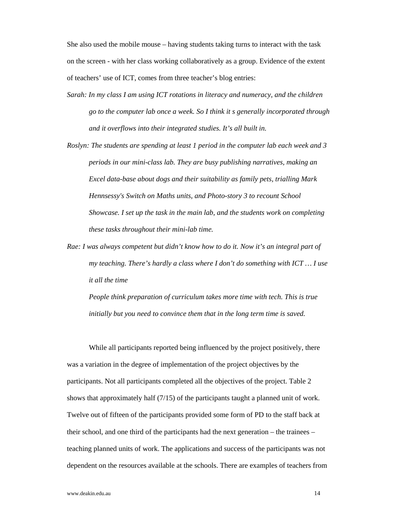She also used the mobile mouse – having students taking turns to interact with the task on the screen - with her class working collaboratively as a group. Evidence of the extent of teachers' use of ICT, comes from three teacher's blog entries:

- *Sarah: In my class I am using ICT rotations in literacy and numeracy, and the children go to the computer lab once a week. So I think it s generally incorporated through and it overflows into their integrated studies. It's all built in.*
- *Roslyn: The students are spending at least 1 period in the computer lab each week and 3 periods in our mini-class lab. They are busy publishing narratives, making an Excel data-base about dogs and their suitability as family pets, trialling Mark Hennsessy's Switch on Maths units, and Photo-story 3 to recount School Showcase. I set up the task in the main lab, and the students work on completing these tasks throughout their mini-lab time.*
- *Rae: I was always competent but didn't know how to do it. Now it's an integral part of my teaching. There's hardly a class where I don't do something with ICT … I use it all the time*

*People think preparation of curriculum takes more time with tech. This is true initially but you need to convince them that in the long term time is saved.*

While all participants reported being influenced by the project positively, there was a variation in the degree of implementation of the project objectives by the participants. Not all participants completed all the objectives of the project. Table 2 shows that approximately half (7/15) of the participants taught a planned unit of work. Twelve out of fifteen of the participants provided some form of PD to the staff back at their school, and one third of the participants had the next generation – the trainees – teaching planned units of work. The applications and success of the participants was not dependent on the resources available at the schools. There are examples of teachers from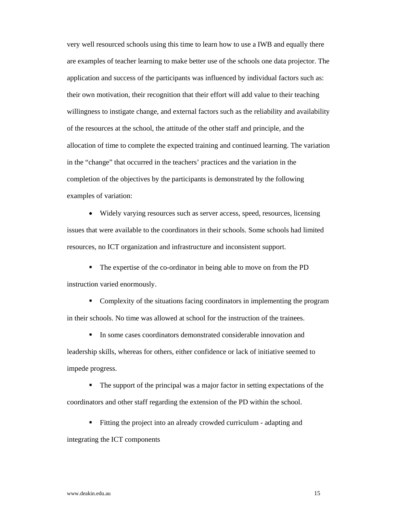very well resourced schools using this time to learn how to use a IWB and equally there are examples of teacher learning to make better use of the schools one data projector. The application and success of the participants was influenced by individual factors such as: their own motivation, their recognition that their effort will add value to their teaching willingness to instigate change, and external factors such as the reliability and availability of the resources at the school, the attitude of the other staff and principle, and the allocation of time to complete the expected training and continued learning. The variation in the "change" that occurred in the teachers' practices and the variation in the completion of the objectives by the participants is demonstrated by the following examples of variation:

 Widely varying resources such as server access, speed, resources, licensing issues that were available to the coordinators in their schools. Some schools had limited resources, no ICT organization and infrastructure and inconsistent support.

 The expertise of the co-ordinator in being able to move on from the PD instruction varied enormously.

 Complexity of the situations facing coordinators in implementing the program in their schools. No time was allowed at school for the instruction of the trainees.

 In some cases coordinators demonstrated considerable innovation and leadership skills, whereas for others, either confidence or lack of initiative seemed to impede progress.

 The support of the principal was a major factor in setting expectations of the coordinators and other staff regarding the extension of the PD within the school.

Fitting the project into an already crowded curriculum - adapting and

integrating the ICT components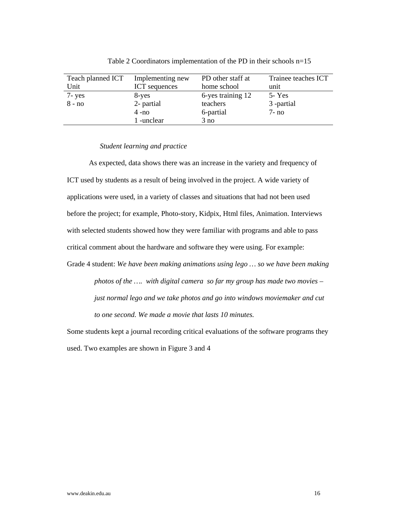| Teach planned ICT | Implementing new     | PD other staff at | Trainee teaches ICT |
|-------------------|----------------------|-------------------|---------------------|
| Unit              | <b>ICT</b> sequences | home school       | unit                |
| 7- yes            | 8-yes                | 6-yes training 12 | $5 - Yes$           |
| $8 - no$          | 2- partial           | teachers          | 3 -partial          |
|                   | $4 - no$             | 6-partial         | $7-no$              |
|                   | 1 -unclear           | 3 no              |                     |

Table 2 Coordinators implementation of the PD in their schools n=15

#### *Student learning and practice*

As expected, data shows there was an increase in the variety and frequency of ICT used by students as a result of being involved in the project. A wide variety of applications were used, in a variety of classes and situations that had not been used before the project; for example, Photo-story, Kidpix, Html files, Animation. Interviews with selected students showed how they were familiar with programs and able to pass critical comment about the hardware and software they were using. For example:

Grade 4 student: *We have been making animations using lego … so we have been making photos of the …. with digital camera so far my group has made two movies – just normal lego and we take photos and go into windows moviemaker and cut to one second. We made a movie that lasts 10 minutes.*

Some students kept a journal recording critical evaluations of the software programs they used. Two examples are shown in Figure 3 and 4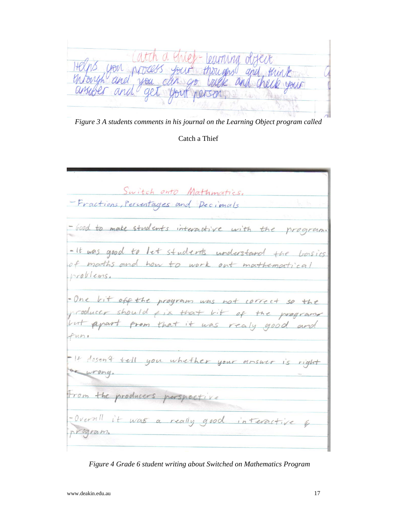$\rho$  $\psi$ -  $\omega$ Kright<br>heck your

*Figure 3 A students comments in his journal on the Learning Object program called* 

### Catch a Thief

Switch onto Mathmortics. -Fractions, Percentages and Pecimals -Good to make students interactive with the program. - It was good to let students understand the boisics of maths and how to work out mathematical nroblems. = One bit off the program was not correct so the producer should fix that lit of the programs but apart from that it was really good and  $funv$ - It dosen't tell you whether your answer is right at wrong. From the producers perspective - Overall it was a really good interactive rrogram.

*Figure 4 Grade 6 student writing about Switched on Mathematics Program*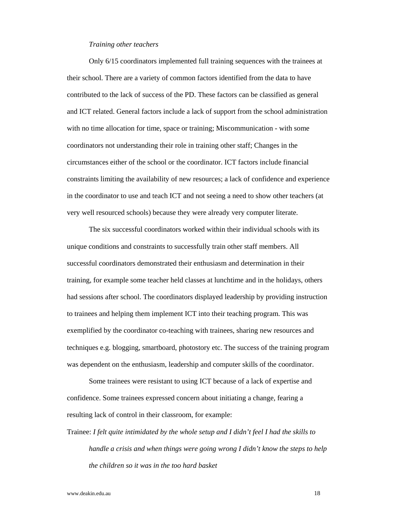#### *Training other teachers*

Only 6/15 coordinators implemented full training sequences with the trainees at their school. There are a variety of common factors identified from the data to have contributed to the lack of success of the PD. These factors can be classified as general and ICT related. General factors include a lack of support from the school administration with no time allocation for time, space or training; Miscommunication - with some coordinators not understanding their role in training other staff; Changes in the circumstances either of the school or the coordinator. ICT factors include financial constraints limiting the availability of new resources; a lack of confidence and experience in the coordinator to use and teach ICT and not seeing a need to show other teachers (at very well resourced schools) because they were already very computer literate.

The six successful coordinators worked within their individual schools with its unique conditions and constraints to successfully train other staff members. All successful coordinators demonstrated their enthusiasm and determination in their training, for example some teacher held classes at lunchtime and in the holidays, others had sessions after school. The coordinators displayed leadership by providing instruction to trainees and helping them implement ICT into their teaching program. This was exemplified by the coordinator co-teaching with trainees, sharing new resources and techniques e.g. blogging, smartboard, photostory etc. The success of the training program was dependent on the enthusiasm, leadership and computer skills of the coordinator.

Some trainees were resistant to using ICT because of a lack of expertise and confidence. Some trainees expressed concern about initiating a change, fearing a resulting lack of control in their classroom, for example:

Trainee: *I felt quite intimidated by the whole setup and I didn't feel I had the skills to handle a crisis and when things were going wrong I didn't know the steps to help the children so it was in the too hard basket*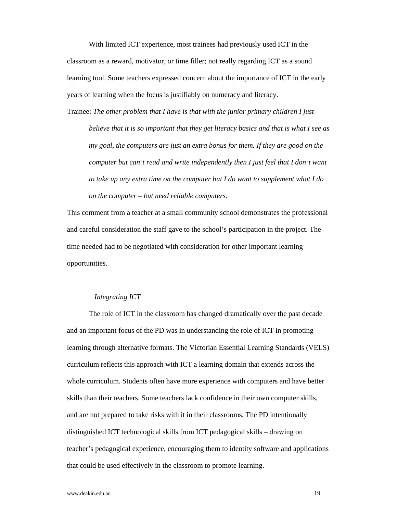With limited ICT experience, most trainees had previously used ICT in the classroom as a reward, motivator, or time filler; not really regarding ICT as a sound learning tool. Some teachers expressed concern about the importance of ICT in the early years of learning when the focus is justifiably on numeracy and literacy.

Trainee: *The other problem that I have is that with the junior primary children I just believe that it is so important that they get literacy basics and that is what I see as my goal, the computers are just an extra bonus for them. If they are good on the computer but can't read and write independently then I just feel that I don't want to take up any extra time on the computer but I do want to supplement what I do on the computer – but need reliable computers.* 

This comment from a teacher at a small community school demonstrates the professional and careful consideration the staff gave to the school's participation in the project. The time needed had to be negotiated with consideration for other important learning opportunities.

#### *Integrating ICT*

The role of ICT in the classroom has changed dramatically over the past decade and an important focus of the PD was in understanding the role of ICT in promoting learning through alternative formats. The Victorian Essential Learning Standards (VELS) curriculum reflects this approach with ICT a learning domain that extends across the whole curriculum. Students often have more experience with computers and have better skills than their teachers. Some teachers lack confidence in their own computer skills, and are not prepared to take risks with it in their classrooms. The PD intentionally distinguished ICT technological skills from ICT pedagogical skills – drawing on teacher's pedagogical experience, encouraging them to identity software and applications that could be used effectively in the classroom to promote learning.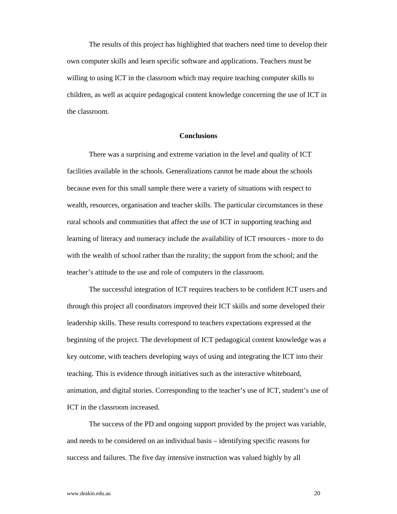The results of this project has highlighted that teachers need time to develop their own computer skills and learn specific software and applications. Teachers must be willing to using ICT in the classroom which may require teaching computer skills to children, as well as acquire pedagogical content knowledge concerning the use of ICT in the classroom.

#### **Conclusions**

There was a surprising and extreme variation in the level and quality of ICT facilities available in the schools. Generalizations cannot be made about the schools because even for this small sample there were a variety of situations with respect to wealth, resources, organisation and teacher skills. The particular circumstances in these rural schools and communities that affect the use of ICT in supporting teaching and learning of literacy and numeracy include the availability of ICT resources - more to do with the wealth of school rather than the rurality; the support from the school; and the teacher's attitude to the use and role of computers in the classroom.

The successful integration of ICT requires teachers to be confident ICT users and through this project all coordinators improved their ICT skills and some developed their leadership skills. These results correspond to teachers expectations expressed at the beginning of the project. The development of ICT pedagogical content knowledge was a key outcome, with teachers developing ways of using and integrating the ICT into their teaching. This is evidence through initiatives such as the interactive whiteboard, animation, and digital stories. Corresponding to the teacher's use of ICT, student's use of ICT in the classroom increased.

The success of the PD and ongoing support provided by the project was variable, and needs to be considered on an individual basis – identifying specific reasons for success and failures. The five day intensive instruction was valued highly by all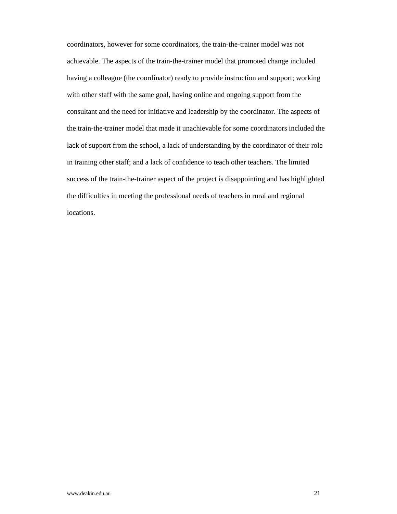coordinators, however for some coordinators, the train-the-trainer model was not achievable. The aspects of the train-the-trainer model that promoted change included having a colleague (the coordinator) ready to provide instruction and support; working with other staff with the same goal, having online and ongoing support from the consultant and the need for initiative and leadership by the coordinator. The aspects of the train-the-trainer model that made it unachievable for some coordinators included the lack of support from the school, a lack of understanding by the coordinator of their role in training other staff; and a lack of confidence to teach other teachers. The limited success of the train-the-trainer aspect of the project is disappointing and has highlighted the difficulties in meeting the professional needs of teachers in rural and regional locations.